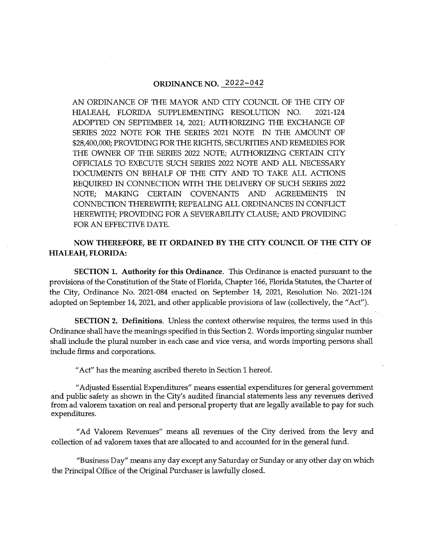# **ORDINANCE NO.** 2022-042

AN ORDINANCE OF 1HE MAYOR AND CITY COUNCIL OF 1HE CITY OF HIALEAH, FLORIDA SUPPLEMENTING RESOLUTION NO. 2021-124 ADOPTED ON SEPTEMBER 14, 2021; AU1HORIZING 1HE EXCHANGE OF SERIES 2022 NOTE FOR THE SERIES 2021 NOTE IN 1HE AMOUNT OF \$28,400,000; PROVIDING FOR 1HE RIGHTS, SECURITIES AND REMEDIES FOR THE OWNER OF THE SERIES 2022 NOTE; AUTHORIZING CERTAIN CITY OFFICIALS TO EXECUTE SUCH SERIES 2022 NOTE AND ALL NECESSARY DOCUMENTS ON BEHALF OF THE CITY AND TO TAKE ALL ACTIONS REQUIRED IN CONNECTION WITH THE DELIVERY OF SUCH SERIES 2022 NOTE; MAKING CERTAIN COVENANTS AND AGREEMENTS IN CONNECTION THEREWITH; REPEALING ALL ORDINANCES IN CONFLICT HEREWITH; PROVIDING FOR A SEVERABILITY CLAUSE; AND PROVIDING FOR AN EFFECTIVE DATE.

**NOW THEREFORE, BE IT ORDAINED BY THE CITY COUNCIL OF THE CITY OF HIALEAH, FLORIDA:** 

**SECTION 1. Authority for this Ordinance.** This Ordinance is enacted pursuant to the provisions of the Constitution of the State of Florida, Chapter 166, Florida Statutes, the Charter of the City, Ordinance No. 2021-084 enacted on September 14, 2021, Resolution No. 2021-124 adopted on September 14, 2021, and other applicable provisions of law (collectively, the "Act").

**SECTION 2. Definitions.** Unless the context otherwise requires, the terms used in this Ordinance shall have the meanings specified in this Section 2. Words importing singular number shall include the plural number in each case and vice versa, and words importing persons shall include firms and corporations.

"Act" has the meaning ascribed thereto in Section 1 hereof.

"Adjusted Essential Expenditures" means essential expenditures for general government and public safety as shown in the City's audited financial statements less any revenues derived from ad valorem taxation on real and personal property that are legally available to pay for such expenditures.

"Ad Valorem Revenues" means all revenues of the City derived from the levy and collection of ad valorem taxes that are allocated to and accounted for in the general fund.

"Business Day" means any day except any Saturday or Sunday or any other day on which the Principal Office of the Original Purchaser is lawfully closed.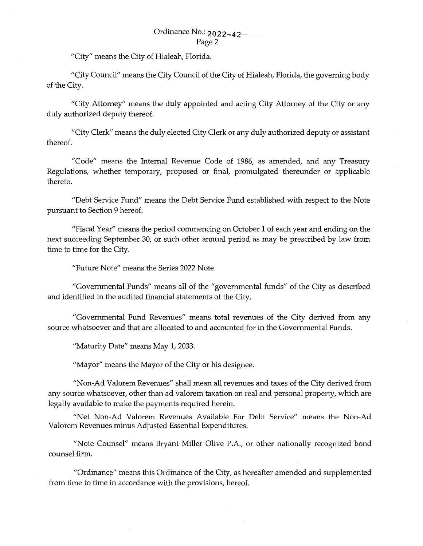"City" means the City of Hialeah, Florida.

"City Council" means the City Council of the City of Hialeah, Florida, the governing body of the City.

"City Attorney" means the duly appointed and acting City Attorney of the City or any duly authorized deputy thereof.

"City Clerk" means the duly elected City Clerk or any duly authorized deputy or assistant thereof.

"Code" means the Internal Revenue Code of 1986, as amended, and any Treasury Regulations, whether temporary, proposed or final, promulgated thereunder or applicable thereto.

"Debt Service Fund" means the Debt Service Fund established with respect to the Note pursuant to Section 9 hereof.

"Fiscal Year" means the period commencing on October 1 of each year and ending on the next succeeding September 30, or such other annual period as may be prescribed by law from time to time for the City.

"Future Note" means the Series 2022 Note.

"Governmental Funds" means all of the "governmental funds" of the City as described and identified in the audited financial statements of the City.

"Governmental Fund Revenues" means total revenues of the City derived from any source whatsoever and that are allocated to and accounted for in the Governmental Funds.

"Maturity Date" means May 1, 2033.

"Mayor" means the Mayor of the City or his designee.

"Non-Ad Valorem Revenues" shall mean all revenues and taxes of the City derived from any source whatsoever, other than ad valorem taxation on real and personal property, which are legally available to make the payments required herein.

"Net Non-Ad Valorem Revenues Available For Debt Service" means the Non-Ad Valorem Revenues minus Adjusted Essential Expenditures.

"Note Counsel" means Bryant Miller Olive P.A., or other nationally recognized bond counsel firm.

"Ordinance" means this Ordinance of the City, as hereafter amended and supplemented from time to time in accordance with the provisions, hereof.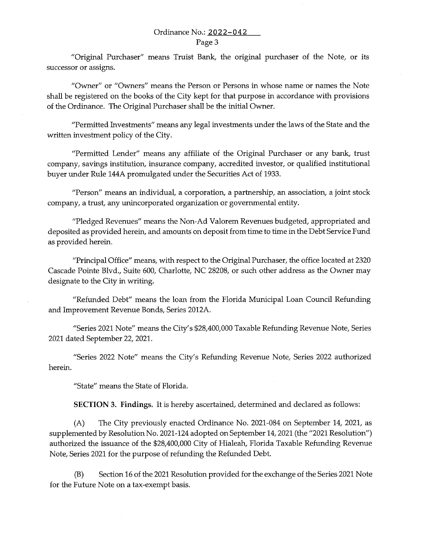"Original Purchaser" means Truist Bank, the original purchaser of the Note, or its successor or assigns.

"Owner" or "Owners" means the Person or Persons in whose name or names the Note shall be registered on the books of the City kept for that purpose in accordance with provisions of the Ordinance. The Original Purchaser shall be the initial Owner.

"Permitted Investments" means any legal investments under the laws of the State and the written investment policy of the City.

"Permitted Lender" means any affiliate of the Original Purchaser or any bank, trust company, savings institution, insurance company, accredited investor, or qualified institutional buyer under Rule 144A promulgated under the Securities Act of 1933.

"Person" means an individual, a corporation, a partnership, an association, a joint stock company, a trust, any unincorporated organization or governmental entity.

"Pledged Revenues" means the Non-Ad Valorem Revenues budgeted, appropriated and deposited as provided herein, and amounts on deposit from time to time in the Debt Service Fund as provided herein.

"Principal Office" means, with respect to the Original Purchaser, the office located at 2320 Cascade Pointe Blvd., Suite 600, Charlotte, NC 28208, or such other address as the Owner may designate to the City in writing.

"Refunded Debt" means the loan from the Florida Municipal Loan Council Refunding and Improvement Revenue Bonds, Series 2012A.

"Series 2021 Note" means the City's \$28,400,000 Taxable Refunding Revenue Note, Series 2021 dated September 22, 2021.

"Series 2022 Note" means the City's Refunding Revenue Note, Series 2022 authorized herein.

"State" means the State of Florida.

**SECTION 3. Findings.** It is hereby ascertained, determined and declared as follows:

(A) The City previously enacted Ordinance No. 2021-084 on September 14, 2021, as supplemented by Resolution No. 2021-124 adopted on September 14, 2021 (the "2021 Resolution") authorized the issuance of the \$28,400,000 City of Hialeah, Florida Taxable Refunding Revenue Note, Series 2021 for the purpose of refunding the Refunded Debt.

(B) Section 16 of the 2021 Resolution provided for the exchange of the Series 2021 Note for the Future Note on a tax-exempt basis.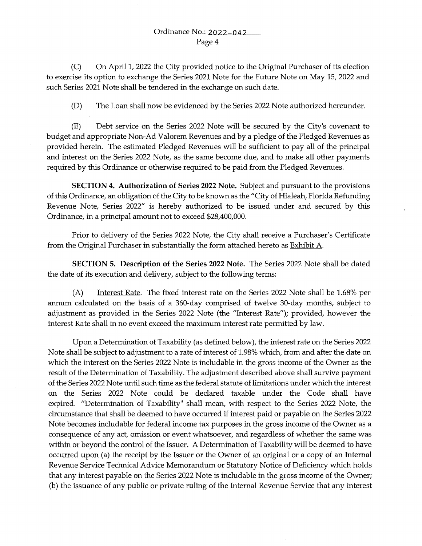(C) On April 1, 2022 the City provided notice to the Original Purchaser of its election to exercise its option to exchange the Series 2021 Note for the Future Note on May 15, 2022 and such Series 2021 Note shall be tendered in the exchange on such date.

(D) The Loan shall now be evidenced by the Series 2022 Note authorized hereunder.

(E) Debt service on the Series 2022 Note will be secured by the City's covenant to budget and appropriate Non-Ad Valorem Revenues and by a pledge of the Pledged Revenues as provided herein. The estimated Pledged Revenues will be sufficient to pay all of the principal and interest on the Series 2022 Note, as the same become due, and to make all other payments required by this Ordinance or otherwise required to be paid from the Pledged Revenues.

**SECTION 4. Authorization of Series 2022 Note.** Subject and pursuant to the provisions of this Ordinance, an obligation of the City to be known as the "City of Hialeah, Florida Refunding Revenue Note, Series 2022" is hereby authorized to be issued under and secured by this Ordinance, in a principal amount not to exceed \$28,400,000.

Prior to delivery of the Series 2022 Note, the City shall receive a Purchaser's Certificate from the Original Purchaser in substantially the form attached hereto as **Exhibit A**.

**SECTION 5. Description of the Series 2022 Note.** The Series 2022 Note shall be dated the date of its execution and delivery, subject to the following terms:

(A) Interest Rate. The fixed interest rate on the Series 2022 Note shall be 1.68% per annum calculated on the basis of a 360-day comprised of twelve 30-day months, subject to adjustment as provided in the Series 2022 Note (the "Interest Rate"); provided, however the Interest Rate shall in no event exceed the maximum interest rate permitted by law.

Upon a Determination of Taxability (as defined below), the interest rate on the Series 2022 Note shall be subject to adjustment to a rate of interest of 1.98% which, from and after the date on which the interest on the Series 2022 Note is includable in the gross income of the Owner as the result of the Determination of Taxability. The adjustment described above shall survive payment of the Series 2022 Note until such time as the federal statute of limitations under which the interest on the Series 2022 Note could be declared taxable under the Code shall have expired. "Determination of Taxability" shall mean, with respect to the Series 2022 Note, the circumstance that shall be deemed to have occurred if interest paid or payable on the Series 2022 Note becomes includable for federal income tax purposes in the gross income of the Owner as a consequence of any act, omission or event whatsoever, and regardless of whether the same was within or beyond the control of the Issuer. A Determination of Taxability will be deemed to have occurred upon (a) the receipt by the Issuer or the Owner of an original or a copy of an Internal Revenue Service Technical Advice Memorandum or Statutory Notice of Deficiency which holds that any interest payable on the Series 2022 Note is includable in the gross income of the Owner; (b) the issuance of any public or private ruling of the Internal Revenue Service that any interest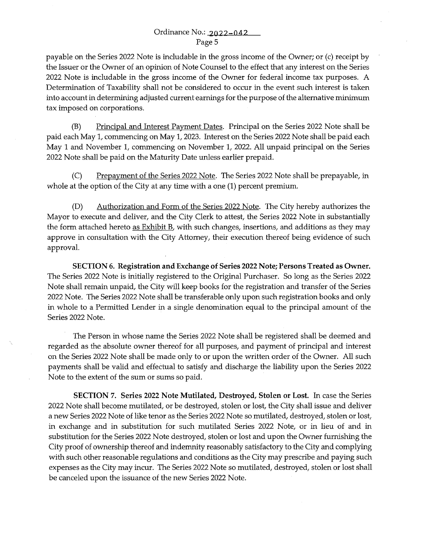payable on the Series 2022 Note is includable in the gross income of the Owner; or (c) receipt by the Issuer or the Owner of an opinion of Note Counsel to the effect that any interest on the Series 2022 Note is includable in the gross income of the Owner for federal income tax purposes. A Determination of Taxability shall not be considered to occur in the event such interest is taken into account in determining adjusted current earnings for the purpose of the alternative minimum tax imposed on corporations.

(B) Principal and Interest Payment Dates. Principal on the Series 2022 Note shall be paid each May 1, commencing on May 1, 2023. Interest on the Series 2022 Note shall be paid each May 1 and November 1, commencing on November 1, 2022. All unpaid principal on the Series 2022 Note shall be paid on the Maturity Date unless earlier prepaid.

(C) Prepayment of the Series 2022 Note. The Series 2022 Note shall be prepayable, in whole at the option of the City at any time with a one (1) percent premium.

(D) Authorization and Form of the Series 2022 Note. The City hereby authorizes the Mayor to execute and deliver, and the City Clerk to attest, the Series 2022 Note in substantially the form attached hereto as Exhibit B, with such changes, insertions, and additions as they may approve in consultation with the City Attorney, their execution thereof being evidence of such approval.

SECTION 6. Registration and Exchange of Series 2022 Note; Persons Treated as Owner. The Series 2022 Note is initially registered to the Original Purchaser. So long as the Series 2022 Note shall remain unpaid, the City will keep books for the registration and transfer of the Series 2022 Note. The Series 2022 Note shall be transferable only upon such registration books and only in whole to a Permitted Lender in a single denomination equal to the principal amount of the Series 2022 Note.

The Person in whose name the Series 2022 Note shall be registered shall be deemed and regarded as the absolute owner thereof for all purposes, and payment of principal and interest on the Series 2022 Note shall be made only to or upon the written order of the Owner. All such payments shall be valid and effectual to satisfy and discharge the liability upon the Series 2022 Note to the extent of the sum or sums so paid.

SECTION 7. Series 2022 Note Mutilated, Destroyed, Stolen or Lost. In case the Series 2022 Note shall become mutilated, or be destroyed, stolen or lost, the City shall issue and deliver a new Series 2022 Note of like tenor as the Series 2022 Note so mutilated, destroyed, stolen or lost, in exchange and in substitution for such mutilated Series 2022 Note, or in lieu of and in substitution for the Series 2022 Note destroyed, stolen or lost and upon the Owner furnishing the City proof of ownership thereof and indemnity reasonably satisfactory to the City and complying with such other reasonable regulations and conditions as the City may prescribe and paying such expenses as the City may incur. The Series 2022 Note so mutilated, destroyed, stolen or lost shall be canceled upon the issuance of the new Series 2022 Note.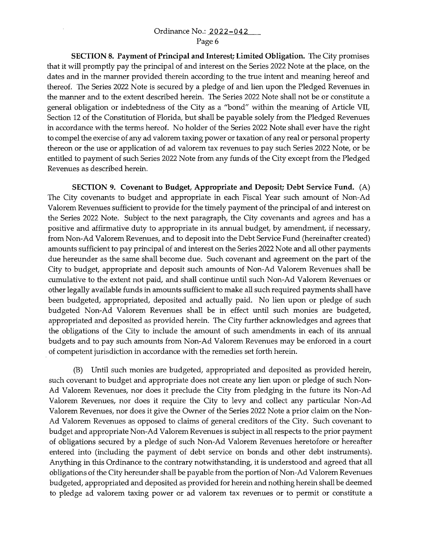**SECTION 8. Payment of Principal and Interest; Limited Obligation.** The City promises that it will promptly pay the principal of and interest on the Series 2022 Note at the place, on the dates and in the manner provided therein according *to* the true intent and meaning hereof and thereof. The Series 2022 Note is secured by a pledge of and lien upon the Pledged Revenues in the manner and *to* the extent described herein. The Series 2022 Note shall not be or constitute a general obligation or indebtedness of the City as a "bond" within the meaning of Article VII, Section 12 of the Constitution of Florida, but shall be payable solely from the Pledged Revenues in accordance with the terms hereof. No holder of the Series 2022 Note shall ever have the right *to* compel the exercise of any ad valorem taxing power or taxation of any real or personal property thereon or the use or application of ad valorem tax revenues *to* pay such Series 2022 Note, or be entitled *to* payment of such Series 2022 Note from any funds of the City except from the Pledged Revenues as described herein.

**SECTION 9. Covenant to Budget, Appropriate and Deposit; Debt Service Fund.** (A) The City covenants *to* budget and appropriate in each Fiscal Year such amount of Non-Ad Valorem Revenues sufficient *to* provide for the timely payment of the principal of and interest on the Series 2022 Note. Subject *to* the next paragraph, the City covenants and agrees and has a positive and affirmative duty *to* appropriate in its annual budget, by amendment, if necessary, from Non-Ad Valorem Revenues, and *to* deposit into the Debt Service Fund (hereinafter created) amounts sufficient *to* pay principal of and interest on the Series 2022 Note and all other payments due hereunder as the same shall become due. Such covenant and agreement on the part of the City *to* budget, appropriate and deposit such amounts of Non-Ad Valorem Revenues shall be cumulative *to* the extent not paid, and shall continue until such Non-Ad Valorem Revenues or other legally available funds in amounts sufficient *to* make all such required payments shall have been budgeted, appropriated, deposited and actually paid. No lien upon or pledge of such budgeted Non-Ad Valorem Revenues shall be in effect until such monies are budgeted, appropriated and deposited as provided herein. The City further acknowledges and agrees that the obligations of the City *to* include the amount of such amendments in each of its annual budgets and *to* pay such amounts from Non-Ad Valorem Revenues may be enforced in a court . of competent jurisdiction in accordance with the remedies set forth herein.

(B) Until such monies are budgeted, appropriated and deposited as provided herein, such covenant *to* budget and appropriate does not create any lien upon or pledge of such Non-Ad Valorem Revenues, nor does it preclude the City from pledging in the future its Non-Ad Valorem Revenues, nor does it require the City *to* levy and collect any particular Non-Ad Valorem Revenues, nor does it give the Owner of the Series 2022 Note a prior claim on the Non-Ad Valorem Revenues as opposed *to* claims of general creditors of the City. Such covenant *to*  budget and appropriate Non-Ad Valorem Revenues is subject in all respects *to* the prior payment of obligations secured by a pledge of such Non-Ad Valorem Revenues heretofore or hereafter entered into (including the payment of debt service on bonds and other debt instruments). Anything in this Ordinance *to* the contrary notwithstanding, it is understood and agreed that all obligations of the City hereunder shall be payable from the portion of Non-Ad Valorem Revenues budgeted, appropriated and deposited as provided for herein and nothing herein shall be deemed *to* pledge ad valorem taxing power or ad valorem tax revenues or *to* permit or constitute a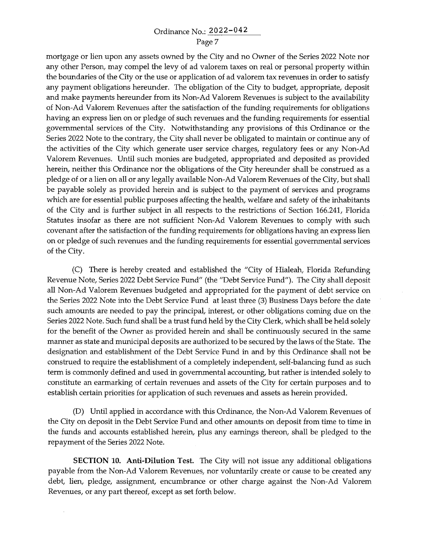mortgage or lien upon any assets owned by the City and no Owner of the Series 2022 Note nor any other Person, may compel the levy of ad valorem taxes on real or personal property within the boundaries of the City or the use or application of ad valorem tax revenues in order to satisfy any payment obligations hereunder. The obligation of the City to budget, appropriate, deposit and make payments hereunder from its Non-Ad Valorem Revenues is subject to the availability of Non-Ad Valorem Revenues after the satisfaction of the funding requirements for obligations having an express lien on or pledge of such revenues and the funding requirements for essential governmental services of the City. Notwithstanding any provisions of this Ordinance or the Series 2022 Note to the contrary, the City shall never be obligated to maintain or continue any of the activities of the City which generate user service charges, regulatory fees or any Non-Ad Valorem Revenues. Until such monies are budgeted, appropriated and deposited as provided herein, neither this Ordinance nor the obligations of the City hereunder shall be construed as a pledge of or a lien on all or any legally available Non-Ad Valorem Revenues of the City, but shall be payable solely as provided herein and is subject to the payment of services and programs which are for essential public purposes affecting the health, welfare and safety of the inhabitants of the City and is further subject in all respects to the restrictions of Section 166.241, Florida Statutes insofar as there are not sufficient Non-Ad Valorem Revenues to comply with such covenant after the satisfaction of the funding requirements for obligations having an express lien on or pledge of such revenues and the funding requirements for essential governmental services of the City.

(C) There is hereby created and established the "City of Hialeah, Florida Refunding Revenue Note, Series 2022 Debt Service Fund" (the "Debt Service Fund"). The City shall deposit all Non-Ad Valorem Revenues budgeted and appropriated for the payment of debt service on the Series 2022 Note into the Debt Service Fund at least three (3) Business Days before the date such amounts are needed to pay the principal, interest, or other obligations coming due on the Series 2022 Note. Such fund shall be a trust fund held by the City Clerk, which shall be held solely for the benefit of the Owner as provided herein and shall be continuously secured in the same manner as state and municipal deposits are authorized to be secured by the laws of the State. The designation and establishment of the Debt Service Fund in and by this Ordinance shall not be construed to require the establishment of a completely independent, self-balancing fund as such term is commonly defined and used in governmental accounting, but rather is intended solely to constitute an earmarking of certain revenues and assets of the City for certain purposes and to establish certain priorities for application of such revenues and assets as herein provided.

(D) Until applied in accordance with this Ordinance, the Non-Ad Valorem Revenues of the City on deposit in the Debt Service Fund and other amounts on deposit from time to time in the funds and accounts established herein, plus any earnings thereon, shall be pledged to the repayment of the Series 2022 Note.

**SECTION 10. Anti-Dilution Test.** The City will not issue any additional obligations payable from the Non-Ad Valorem Revenues, nor voluntarily create or cause to be created any debt, lien, pledge, assignment, encumbrance or other charge against the Non-Ad Valorem Revenues, or any part thereof, except as set forth below.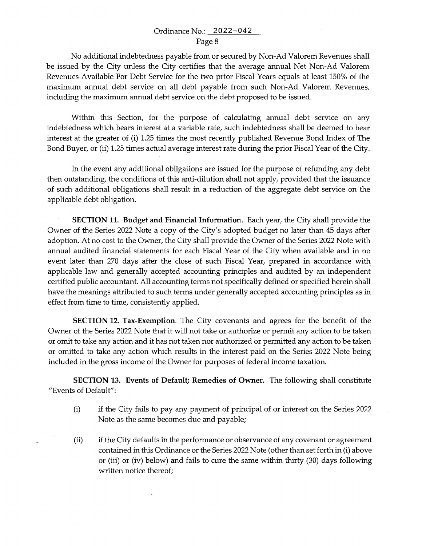No additional indebtedness payable from or secured by Non-Ad Valorem Revenues shall be issued by the City unless the City certifies that the average annual Net Non-Ad Valorem Revenues Available For Debt Service for the two prior Fiscal Years equals at least 150% of the maximum annual debt service on all debt payable from such Non-Ad Valorem Revenues, including the maximum annual debt service on the debt proposed to be issued.

Within this Section, for the purpose of calculating annual debt service on any indebtedness which bears interest at a variable rate, such indebtedness shall be deemed to bear interest at the greater of (i) 1.25 times the most recently published Revenue Bond Index of The Bond Buyer, or (ii) 1.25 times actual average interest rate during the prior Fiscal Year of the City.

In the event any additional obligations are issued for the purpose of refunding any debt then outstanding, the conditions of this anti-dilution shall not apply, provided that the issuance of such additional obligations shall result in a reduction of the aggregate debt service on the applicable debt obligation.

**SECTION 11. Budget and Financial Information.** Each year, the City shall provide the Owner of the Series 2022 Note a copy of the City's adopted budget no later than 45 days after adoption. At no cost to the Owner, the City shall provide the Owner of the Series 2022 Note with annual audited financial statements for each Fiscal Year of the City when available and in no event later than 270 days after the close of such Fiscal Year, prepared in accordance with applicable law and generally accepted accounting principles and audited by an independent certified public accountant. All accounting terms not specifically defined or specified herein shall have the meanings attributed to such terms under generally accepted accounting principles as in effect from time to time, consistently applied.

**SECTION 12. Tax-Exemption.** The City covenants and agrees for the benefit of the Owner of the Series 2022 Note that it will not take or authorize or permit any action to be taken or omit to take any action and it has not taken nor authorized or permitted any action to be taken or omitted to take any action which results in the interest paid on the Series 2022 Note being included in the gross income of the Owner for purposes of federal income taxation.

**SECTION 13. Events of Default; Remedies of Owner.** The following shall constitute "Events of Default":

- (i) if the City fails to pay any payment of principal of or interest on the Series 2022 Note as the same becomes due and payable;
- (ii) if the City defaults in the performance or observance of any covenant or agreement contained in this Ordinance or the Series 2022 Note (other than set forth in (i) above or (iii) or (iv) below) and fails to cure the same within thirty (30) days following written notice thereof;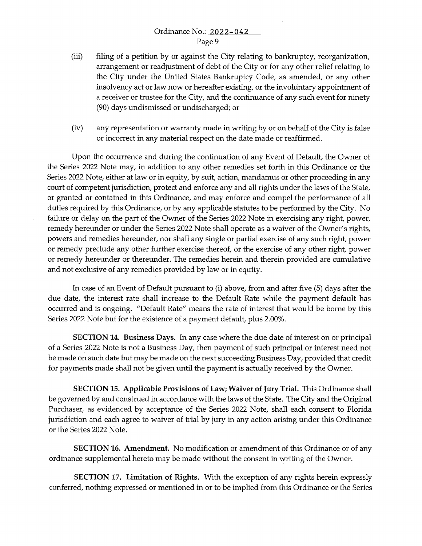- (iii) filing of a petition by or against the City relating to bankruptcy, reorganization, arrangement or readjustment of debt of the City or for any other relief relating to the City under the United States Bankruptcy Code, as amended, or any other insolvency act or law now or hereafter existing, or the invollintary appointment of a receiver or trustee for the City, and the continuance of any such event for ninety (90) days undismissed or undischarged; or
- (iv) any representation or warranty made in writing by or on behalf of the City is false or incorrect in any material respect on the date made or reaffirmed.

Upon the occurrence and during the continuation of any Event of Default, the Owner of the Series 2022 Note may, in addition to any other remedies set forth in this Ordinance or the Series 2022 Note, either at law or in equity, by suit, action, mandamus or other proceeding in any court of competent jurisdiction, protect and enforce any and all rights under the laws of the State, or granted or contained in this Ordinance, and may enforce and compel the performance of all duties required by this Ordinance, or by any applicable statutes to be performed by the City. No failure or delay on the part of the Owner of the Series 2022 Note in exercising any right, power, remedy hereunder or under the Series 2022 Note shall operate as a waiver of the Owner's rights, powers and remedies hereunder, nor shall any single or partial exercise of any such right, power or remedy preclude any other further exercise thereof, or the exercise of any other right, power or remedy hereunder or thereunder. The remedies herein and therein provided are cumulative and not exclusive of any remedies provided by law or in equity.

In case of an Event of Default pursuant to (i) above, from and after five (5) days after the due date, the interest rate shall increase to the Default Rate while the payment default has occurred and is ongoing. "Default Rate" means the rate of interest that would be borne by this Series 2022 Note but for the existence of a payment default, plus 2.00%.

**SECTION 14. Business Days.** In any case where the due date of interest on or principal of a Series 2022 Note is not a Business Day, then payment of such principal or interest need not be made on such date but may be made on the next succeeding Business Day, provided that credit for payments made shall not be given until the payment is actually received by the Owner.

**SECTION 15. Applicable Provisions of Law; Waiver of Jury Trial.** This Ordinance shall be governed by and construed in accordance with the laws of the State. The City and the Original Purchaser, as evidenced by acceptance of the Series 2022 Note, shall each consent to Florida jurisdiction and each agree to waiver of trial by jury in any action arising under this Ordinance or the Series 2022 Note.

**SECTION 16. Amendment.** No modification or amendment of this Ordinance or of any ordinance supplemental hereto may be made without the consent in writing of the Owner.

**SECTION 17. Limitation of Rights.** With the exception of any rights herein expressly conferred, nothing expressed or mentioned in or to be implied from this Ordinance or the Series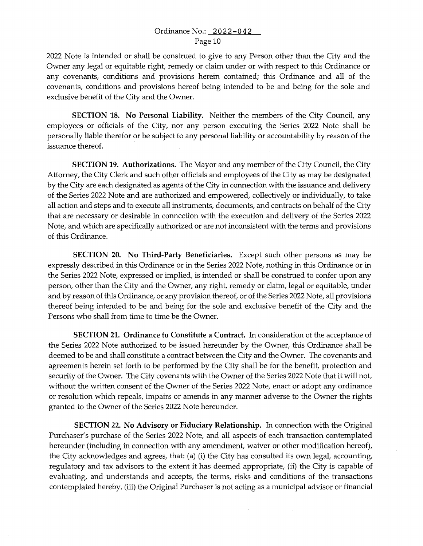2022 Note is intended or shall be construed to give to any Person other than the City and the Owner any legal or equitable right, remedy or claim under or with respect to this Ordinance or any covenants, conditions and provisions herein contained; this Ordinance and all of the covenants, conditions and provisions hereof being intended to be and being for the sole and exclusive benefit of the City and the Owner.

**SECTION 18. No Personal Liability.** Neither the members of the City Council, any employees or officials of the City, nor any person executing the Series 2022 Note shall be personally liable therefor or be subject to any personal liability or accountability by reason of the issuance thereof.

**SECTION 19. Authorizations.** The Mayor and any member of the City Council, the City Attorney, the City Clerk and such other officials and employees of the City as may be designated by the City are each designated as agents of the City in connection with the issuance and delivery of the Series 2022 Note and are authorized and empowered, collectively or individually, to take all action and steps and to execute all instruments, documents, and contracts on behalf of the City that are necessary or desirable in connection with the execution and delivery of the Series 2022 Note, and which are specifically authorized or are not inconsistent with the terms and provisions of this Ordinance.

**SECTION 20. No Third-Party Beneficiaries.** Except such other persons as may be expressly described in this Ordinance or in the Series 2022 Note, nothing in this Ordinance or in the Series 2022 Note, expressed or implied, is intended or shall be construed to confer upon any person, other than the City and the Owner, any right, remedy or claim, legal or equitable, under and by reason of this Ordinance, or any provision thereof, or of the Series 2022 Note, all provisions thereof being intended to be and being for the sole and exclusive benefit of the City and the Persons who shall from time to time be the Owner.

**SECTION 21. Ordinance to Constitute a Contract.** In consideration of the acceptance of the Series 2022 Note authorized to be issued hereunder by the Owner, this Ordinance shall be deemed to be and shall constitute a contract between the City and the Owner. The covenants and agreements herein set forth to be performed by the City shall be for the benefit, protection and security of the Owner. The City covenants with the Owner of the Series 2022 Note that it will not, without the written consent of the Owner of the Series 2022 Note, enact or adopt any ordinance or resolution which repeals, impairs or amends in any manner adverse to the Owner the rights granted to the Owner of the Series 2022 Note hereunder.

**SECTION 22. No Advisory or Fiduciary Relationship.** In connection with the Original Purchaser's purchase of the Series 2022 Note, and all aspects of each transaction contemplated hereunder (including in connection with any amendment, waiver or other modification hereof), the City acknowledges and agrees, that: (a) (i) the City has consulted its own legal, accounting, regulatory and tax advisors to the extent it has deemed appropriate, (ii) the City is capable of evaluating, and understands and accepts, the terms, risks and conditions of the transactions contemplated hereby, (iii) the Original Purchaser is not acting as a municipal advisor or financial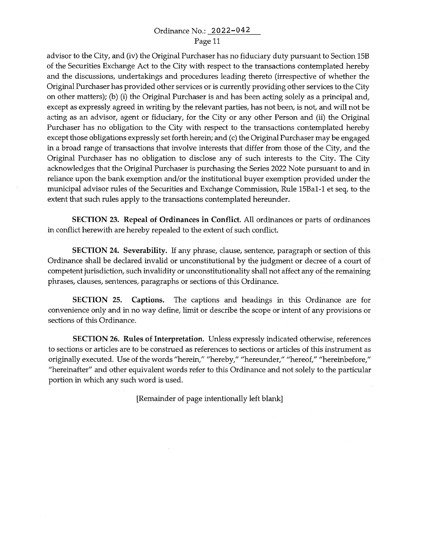advisor *to* the City, and (iv) the Original Purchaser has no fiduciary duty pursuant *to* Section 15B of the Securities Exchange Act *to* the City with respect *to* the transactions contemplated hereby and the discussions, undertakings and procedures leading thereto (irrespective of whether the Original Purchaser has provided other services or is currently providing other services *to* the City on other matters); (b) (i) the Original Purchaser is and has been acting solely as a principal and, except as expressly agreed in writing by the relevant parties, has not been, is not, and will not be acting as an advisor, agent or fiduciary, for the City or any other Person and (ii) the Original Purchaser has no obligation *to* the City with respect *to* the transactions contemplated hereby except those obligations expressly set forth herein; and (c) the Original Purchaser may be engaged in a broad range of transactions that involve interests that differ from those of the City, and the Original Purchaser has no obligation *to* disclose any of such interests *to* the City. The City acknowledges that the Original Purchaser is purchasing the Series 2022 Note pursuant *to* and in reliance upon the bank exemption and/or the institutional buyer exemption provided under the municipal advisor rules of the Securities and Exchange Commission, Rule 15Ba1-1 et seq, *to* the extent that such rules apply *to* the transactions contemplated hereunder.

**SECTION** 23. **Repeal of Ordinances in Conflict.** All ordinances or parts of ordinances in conflict herewith are hereby repealed *to* the extent of such conflict.

**SECTION 24. Severability.** If any phrase, clause, sentence, paragraph or section of this Ordinance shall be declared invalid or unconstitutional by the judgment or decree of a court of competent jurisdiction, such invalidity or unconstitutionality shall not affect any of the remaining phrases, clauses, sentences, paragraphs or sections of this Ordinance.

**SECTION 25. Captions.** The captions and headings in this Ordinance are for convenience only and in no way define, limit or describe the scope or intent of any provisions or sections of this Ordinance.

**SECTION 26. Rules of Interpretation.** Unless expressly indicated otherwise, references *to* sections or articles are *to* be construed as references *to* sections or articles of this instrument as originally executed. Use of the words "herein," "hereby," "hereunder," "hereof," "hereinbefore," "hereinafter" and other equivalent words refer *to* this Ordinance and not solely *to* the particular portion in which any such word is used.

[Remainder of page intentionally left blank]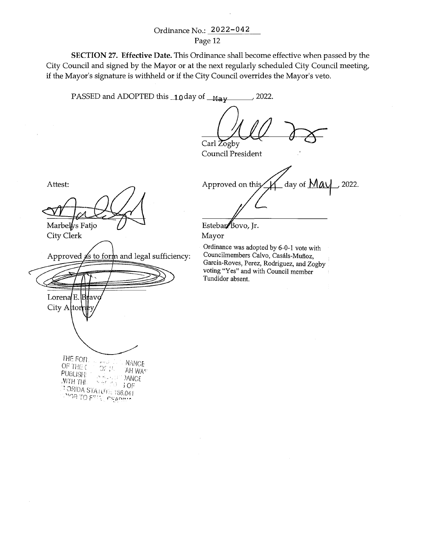**SECTION** 27. **Effective Date.** This Ordinance shall become effective when passed by the City Council and signed by the Mayor or at the next regularly scheduled City Council meeting, if the Mayor's signature is withheld or if the City Council overrides the Mayor's veto.

PASSED and ADOPTED this  $\frac{10}{9}$  day of  $\frac{M_{\text{av}}}{2022}$ .

Carl Zogby

Council President

Approved on this  $\angle M$  day of  $\text{MAV}$ , 2022.

Esteban Bovo, Jr.

Mayor

Ordinance was adopted by 6-0-1 vote with Councilmembers Calvo, Casáls-Muñoz, Garcia-Roves, Perez, Rodriguez, and Zogby voting "Yes" and with Council member Tundidor absent.

Attest:

Marbely's Fatjo

**City Clerk** 

Approved  $\cancel{a}$ s to form and legal sufficiency:

Lorena $/E$ IB۱ City Attor

THE FOR.  $\sim m_{\rm Xb}^{-1}$ **NANCE** OF THE ( ☆☆ 11 AH WAS **PUBLISH JANCE JUTH THI.** 3 OF **TORIDA STATUTE 166.041 PRODUCTS** TO FILL OF BOOM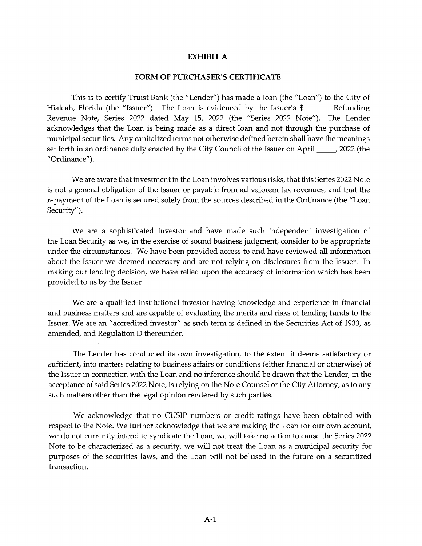#### **EXHIBIT A**

#### **FORM OF PURCHASER'S CERTIFICATE**

This is to certify Truist Bank (the "Lender") has made a loan (the "Loan") to the City of Hialeah, Florida (the "Issuer"). The Loan is evidenced by the Issuer's  $\frac{1}{2}$  Refunding Revenue Note, Series 2022 dated May 15, 2022 (the "Series 2022 Note"). The Lender acknowledges that the Loan is being made as a direct loan and not through the purchase of municipal securities. Any capitalized terms not otherwise defined herein shall have the meanings set forth in an ordinance duly enacted by the City Council of the Issuer on April \_\_\_\_\_\_, 2022 (the "Ordinance").

We are aware that investment in the Loan involves various risks, that this Series 2022 Note is not a general obligation of the Issuer or payable from ad valorem tax revenues, and that the repayment of the Loan is secured solely from the sources described in the Ordinance (the "Loan Security").

We are a sophisticated investor and have made such independent investigation of the Loan Security as we, in the exercise of sound business judgment, consider to be appropriate under the circumstances. We have been provided access to and have reviewed all information about the Issuer we deemed necessary and are not relying on disclosures from the Issuer. In making our lending decision, we have relied upon the accuracy of information which has been provided to us by the Issuer

We are a qualified institutional investor having knowledge and experience in financial and business matters and are capable of evaluating the merits and risks of lending funds to the Issuer. We are an "accredited investor" as such term is defined in the Securities Act of 1933, as amended, and Regulation D thereunder.

The Lender has conducted its own investigation, to the extent it deems satisfactory or sufficient, into matters relating to business affairs or conditions (either financial or otherwise) of the Issuer in connection with the Loan and no inference should be drawn that the Lender, in the acceptance of said Series 2022 Note, is relying on the Note Counsel or the City Attorney, as to any such matters other than the legal opinion rendered by such parties.

We acknowledge that no CUSIP numbers or credit ratings have been obtained with respect to the Note. We further acknowledge that we are making the Loan for our own account, we do not currently intend to syndicate the Loan, we will take no action to cause the Series 2022 Note to be characterized as a security, we will not treat the Loan as a municipal security for purposes of the securities laws, and the Loan will not be used in the future on a securitized transaction.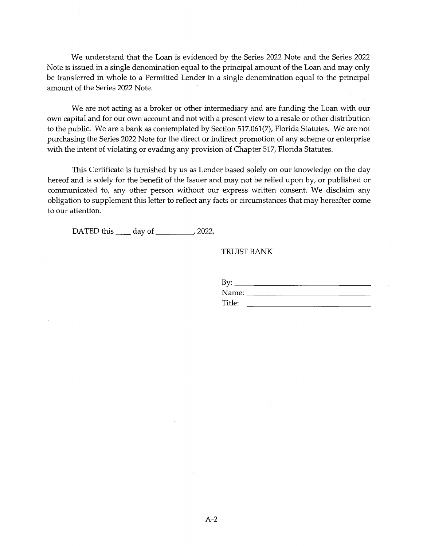We understand that the Loan is evidenced by the Series 2022 Note and the Series 2022 Note is issued in a single denomination equal to the principal amount of the Loan and may only be transferred in whole to a Permitted Lender in a single denomination equal to the principal amount of the Series 2022 Note.

We are not acting as a broker or other intermediary and are funding the Loan with our own capital and for our own account and not with a present view to a resale or other distribution to the public. We are a bank as contemplated by Section 517.061(7), Florida Statutes. We are not purchasing the Series 2022 Note for the direct or indirect promotion of any scheme or enterprise with the intent of violating or evading any provision of Chapter 517, Florida Statutes.

This Certificate is furnished by us as Lender based solely on our knowledge on the day hereof and is solely for the benefit of the Issuer and may not be relied upon by, or published or communicated to, any other person without our express written consent. We disclaim any obligation to supplement this letter to reflect any facts or circumstances that may hereafter come to our attention.

DATED this \_\_\_\_\_ day of \_\_\_\_\_\_\_\_\_\_\_\_\_, 2022.

### TRUIST BANK

| By:    |          |
|--------|----------|
| Name:  |          |
| Title: | -------- |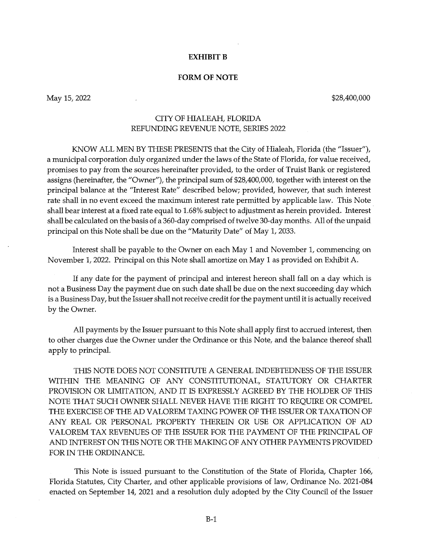### **EXHIBIT B**

### **FORM OF NOTE**

May 15, 2022

\$28,400,000

## CITY OF HIALEAH, FLORIDA REFUNDING REVENUE NOTE, SERIES 2022

KNOW ALL MEN BY THESE PRESENTS that the City of Hialeah, Florida (the "Issuer"), a municipal corporation duly organized under the laws of the State of Florida, for value received, promises to pay from the sources hereinafter provided, to the order of Truist Bank or registered assigns (hereinafter, the "Owner"), the principal sum of \$28,400,000, together with interest on the principal balance at the "Interest Rate" described below; provided, however, that such interest rate shall in no event exceed the maximum interest rate permitted by applicable law. This Note shall bear interest at a fixed rate equal to 1.68% subject to adjustment as herein provided. Interest shall be calculated on the basis of a 360-day comprised of twelve 30-day months. All of the unpaid principal on this Note shall be due on the "Maturity Date" of May 1, 2033.

Interest shall be payable to the Owner on each May 1 and November 1, commencing on November 1, 2022. Principal on this Note shall amortize on May 1 as provided on Exhibit A.

If any date for the payment of principal and interest hereon shall fall on a day which is not a Business Day the payment due on such date shall be due on the next succeeding day which is a Business Day, but the Issuer shall not receive credit for the payment until it is actually received by the Owner.

All payments by the Issuer pursuant to this Note shall apply first to accrued interest, then to other charges due the Owner under the Ordinance or this Note, and the balance thereof shall apply to principal.

THIS NOTE DOES NOT CONSTITUTE A GENERAL INDEBTEDNESS OF THE ISSUER WITHIN THE MEANING OF ANY CONSTITUTIONAL, STATUTORY OR CHARTER PROVISION OR LIMITATION, AND IT IS EXPRESSLY AGREED BY THE HOLDER OF THIS NOTE THAT SUCH OWNER SHALL NEVER HAVE THE RIGHT TO REQUIRE OR COMPEL THE EXERCISE OF THE AD VALOREM TAXING POWER OF THE ISSUER OR TAXATION OF ANY REAL OR PERSONAL PROPERTY THEREIN OR USE OR APPLICATION OF AD VALOREM TAX REVENUES OF THE ISSUER FOR THE PAYMENT OF THE PRINCIPAL OF AND INTEREST ON THIS NOTE OR THE MAKING OF ANY OTHER PAYMENTS PROVIDED FOR IN THE ORDINANCE.

This Note is issued pursuant to the Constitution of the State of Florida, Chapter 166, Florida Statutes, City Charter, and other applicable provisions of law, Ordinance No. 2021-084 enacted on September 14, 2021 and a resolution duly adopted by the City Council of the Issuer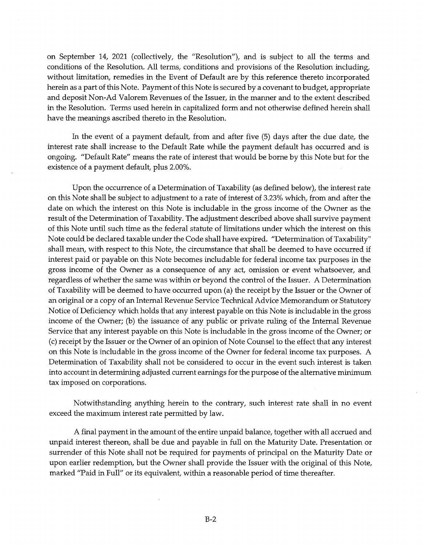on September 14, 2021 (collectively, the "Resolution"), and is subject to all the terms and conditions of the Resolution. All terms, conditions and provisions of the Resolution including, without limitation, remedies in the Event of Default are by this reference thereto incorporated herein as a part of this Note. Payment of this Note is secured by a covenant to budget, appropriate and deposit Non-Ad Valorem Revenues of the Issuer, in the manner and to the extent described in the Resolution. Terms used herein in capitalized form and not otherwise defined herein shall have the meanings ascribed thereto in the Resolution.

In the event of a payment default, from and after five (5) days after the due date, the interest rate shall increase to the Default Rate while the payment default has occurred and is ongoing. "Default Rate" means the rate of interest that would be borne by this Note but for the existence of a payment default, plus 2.00%.

Upon the occurrence of a Determination of Taxability (as defined below), the interest rate on this Note shall be subject to adjustment to a rate of interest of 3.23% which, from and after the date on which the interest on this Note is includable in the gross income of the Owner as the result of the Determination of Taxability. The adjustment described above shall survive payment of this Note until such time as the federal statute of limitations under which the interest on this Note could be declared taxable under the Code shall have expired. "Determination of Taxability" shall mean, with respect to this Note, the circumstance that shall be deemed to have occurred if interest paid or payable on this Note becomes includable for federal income tax purposes in the gross income of the Owner as a consequence of any act, omission or event whatsoever, and regardless of whether the same was within or beyond the control of the Issuer. A Determination of Taxability will be deemed to have occurred upon (a) the receipt by the Issuer or the Owner of an original or a copy of an Internal Revenue Service Technical Advice Memorandum or Statutory Notice of Deficiency which holds that any interest payable on this Note is includable in the gross income of the Owner; (b) the issuance of any public or private ruling of the Internal Revenue Service that any interest payable on this Note is includable in the gross income of the Owner; or (c) receipt by the Issuer or the Owner of an opinion of Note Counsel to the effect that any interest on this Note is includable in the gross income of the Owner for federal income tax purposes. A Determination of Taxability shall not be considered to occur in the event such interest is taken into account in determining adjusted current earnings for the purpose of the alternative minimum tax imposed on corporations.

Notwithstanding anything herein to the contrary, such interest rate shall in no event exceed the maximum interest rate permitted by law.

A final payment in the amount of the entire unpaid balance, together with all accrued and unpaid interest thereon, shall be due and payable in full on the Maturity Date. Presentation or surrender of this Note shall not be required for payments of principal on the Maturity Date or upon earlier redemption, but the Owner shall provide the Issuer with the original of this Note, marked "Paid in Full" or its equivalent, within a reasonable period of time thereafter.